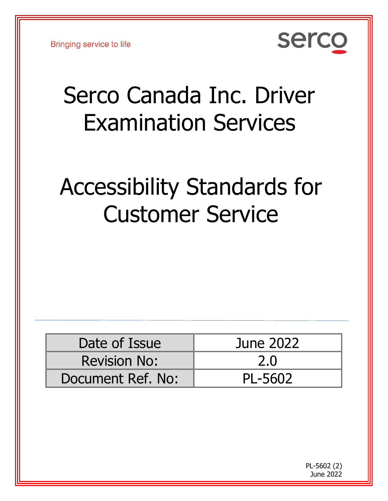**Bringing service to life** 



# Serco Canada Inc. Driver Examination Services

# Accessibility Standards for Customer Service

| Date of Issue       | June 2022 |
|---------------------|-----------|
| <b>Revision No:</b> | 2.0       |
| Document Ref. No:   | PL-5602   |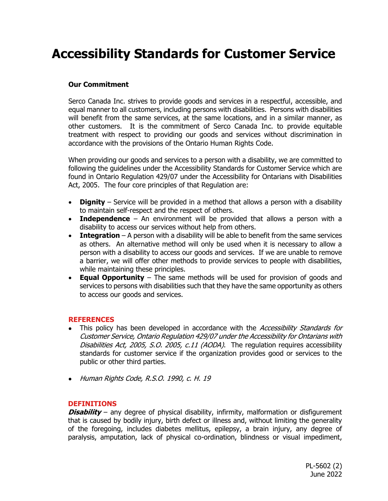# **Accessibility Standards for Customer Service**

#### **Our Commitment**

Serco Canada Inc. strives to provide goods and services in a respectful, accessible, and equal manner to all customers, including persons with disabilities. Persons with disabilities will benefit from the same services, at the same locations, and in a similar manner, as other customers. It is the commitment of Serco Canada Inc. to provide equitable treatment with respect to providing our goods and services without discrimination in accordance with the provisions of the Ontario Human Rights Code.

When providing our goods and services to a person with a disability, we are committed to following the guidelines under the Accessibility Standards for Customer Service which are found in Ontario Regulation 429/07 under the Accessibility for Ontarians with Disabilities Act, 2005. The four core principles of that Regulation are:

- **Dignity** Service will be provided in a method that allows a person with a disability to maintain self-respect and the respect of others.
- **Independence** An environment will be provided that allows a person with a disability to access our services without help from others.
- **Integration** A person with a disability will be able to benefit from the same services as others. An alternative method will only be used when it is necessary to allow a person with a disability to access our goods and services. If we are unable to remove a barrier, we will offer other methods to provide services to people with disabilities, while maintaining these principles.
- **Equal Opportunity** The same methods will be used for provision of goods and services to persons with disabilities such that they have the same opportunity as others to access our goods and services.

#### **REFERENCES**

- This policy has been developed in accordance with the Accessibility Standards for Customer Service, Ontario Regulation 429/07 under the Accessibility for Ontarians with Disabilities Act, 2005, S.O. 2005, c.11 (AODA). The regulation requires accessibility standards for customer service if the organization provides good or services to the public or other third parties.
- Human Rights Code, R.S.O. 1990, c. H. 19

#### **DEFINITIONS**

**Disability** – any degree of physical disability, infirmity, malformation or disfigurement that is caused by bodily injury, birth defect or illness and, without limiting the generality of the foregoing, includes diabetes mellitus, epilepsy, a brain injury, any degree of paralysis, amputation, lack of physical co-ordination, blindness or visual impediment,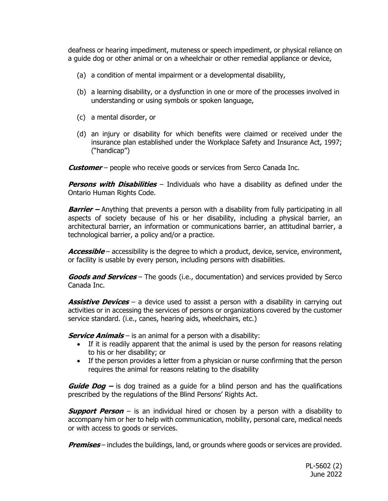deafness or hearing impediment, muteness or speech impediment, or physical reliance on a guide dog or other animal or on a wheelchair or other remedial appliance or device,

- (a) a condition of mental impairment or a developmental disability,
- (b) a learning disability, or a dysfunction in one or more of the processes involved in understanding or using symbols or spoken language,
- (c) a mental disorder, or
- (d) an injury or disability for which benefits were claimed or received under the insurance plan established under the Workplace Safety and Insurance Act, 1997; ("handicap")

**Customer** – people who receive goods or services from Serco Canada Inc.

**Persons with Disabilities** – Individuals who have a disability as defined under the Ontario Human Rights Code.

**Barrier –** Anything that prevents a person with a disability from fully participating in all aspects of society because of his or her disability, including a physical barrier, an architectural barrier, an information or communications barrier, an attitudinal barrier, a technological barrier, a policy and/or a practice.

Accessible – accessibility is the degree to which a product, device, service, environment, or facility is usable by every person, including persons with disabilities.

**Goods and Services** – The goods (i.e., documentation) and services provided by Serco Canada Inc.

**Assistive Devices** – a device used to assist a person with a disability in carrying out activities or in accessing the services of persons or organizations covered by the customer service standard. (i.e., canes, hearing aids, wheelchairs, etc.)

**Service Animals** – is an animal for a person with a disability:

- If it is readily apparent that the animal is used by the person for reasons relating to his or her disability; or
- If the person provides a letter from a physician or nurse confirming that the person requires the animal for reasons relating to the disability

**Guide Dog –** is dog trained as a guide for a blind person and has the qualifications prescribed by the regulations of the Blind Persons' Rights Act.

**Support Person** – is an individual hired or chosen by a person with a disability to accompany him or her to help with communication, mobility, personal care, medical needs or with access to goods or services.

**Premises** – includes the buildings, land, or grounds where goods or services are provided.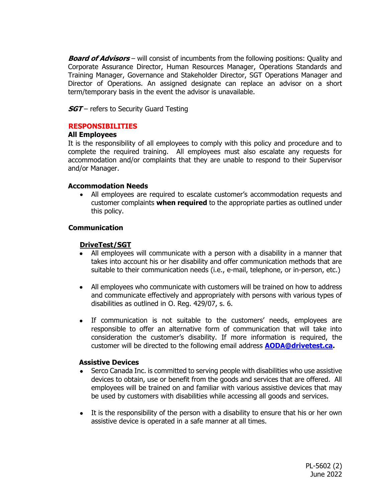**Board of Advisors** – will consist of incumbents from the following positions: Quality and Corporate Assurance Director, Human Resources Manager, Operations Standards and Training Manager, Governance and Stakeholder Director, SGT Operations Manager and Director of Operations. An assigned designate can replace an advisor on a short term/temporary basis in the event the advisor is unavailable.

**SGT** – refers to Security Guard Testing

#### **RESPONSIBILITIES**

#### **All Employees**

It is the responsibility of all employees to comply with this policy and procedure and to complete the required training. All employees must also escalate any requests for accommodation and/or complaints that they are unable to respond to their Supervisor and/or Manager.

#### **Accommodation Needs**

• All employees are required to escalate customer's accommodation requests and customer complaints **when required** to the appropriate parties as outlined under this policy.

#### **Communication**

#### **DriveTest/SGT**

- All employees will communicate with a person with a disability in a manner that takes into account his or her disability and offer communication methods that are suitable to their communication needs (i.e., e-mail, telephone, or in-person, etc.)
- All employees who communicate with customers will be trained on how to address and communicate effectively and appropriately with persons with various types of disabilities as outlined in O. Reg. 429/07, s. 6.
- If communication is not suitable to the customers' needs, employees are responsible to offer an alternative form of communication that will take into consideration the customer's disability. If more information is required, the customer will be directed to the following email address **[AODA@drivetest.ca.](mailto:AODA@drivetest.ca)**

#### **Assistive Devices**

- Serco Canada Inc. is committed to serving people with disabilities who use assistive devices to obtain, use or benefit from the goods and services that are offered. All employees will be trained on and familiar with various assistive devices that may be used by customers with disabilities while accessing all goods and services.
- It is the responsibility of the person with a disability to ensure that his or her own assistive device is operated in a safe manner at all times.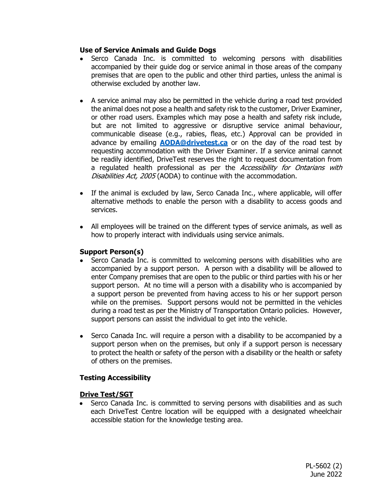#### **Use of Service Animals and Guide Dogs**

- Serco Canada Inc. is committed to welcoming persons with disabilities accompanied by their guide dog or service animal in those areas of the company premises that are open to the public and other third parties, unless the animal is otherwise excluded by another law.
- A service animal may also be permitted in the vehicle during a road test provided the animal does not pose a health and safety risk to the customer, Driver Examiner, or other road users. Examples which may pose a health and safety risk include, but are not limited to aggressive or disruptive service animal behaviour, communicable disease (e.g., rabies, fleas, etc.) Approval can be provided in advance by emailing **[AODA@drivetest.ca](mailto:AODA@drivetest.ca)** or on the day of the road test by requesting accommodation with the Driver Examiner. If a service animal cannot be readily identified, DriveTest reserves the right to request documentation from a regulated health professional as per the Accessibility for Ontarians with Disabilities Act, 2005 (AODA) to continue with the accommodation.
- If the animal is excluded by law, Serco Canada Inc., where applicable, will offer alternative methods to enable the person with a disability to access goods and services.
- All employees will be trained on the different types of service animals, as well as how to properly interact with individuals using service animals.

#### **Support Person(s)**

- Serco Canada Inc. is committed to welcoming persons with disabilities who are accompanied by a support person. A person with a disability will be allowed to enter Company premises that are open to the public or third parties with his or her support person. At no time will a person with a disability who is accompanied by a support person be prevented from having access to his or her support person while on the premises. Support persons would not be permitted in the vehicles during a road test as per the Ministry of Transportation Ontario policies. However, support persons can assist the individual to get into the vehicle.
- Serco Canada Inc. will require a person with a disability to be accompanied by a support person when on the premises, but only if a support person is necessary to protect the health or safety of the person with a disability or the health or safety of others on the premises.

## **Testing Accessibility**

## **Drive Test/SGT**

• Serco Canada Inc. is committed to serving persons with disabilities and as such each DriveTest Centre location will be equipped with a designated wheelchair accessible station for the knowledge testing area.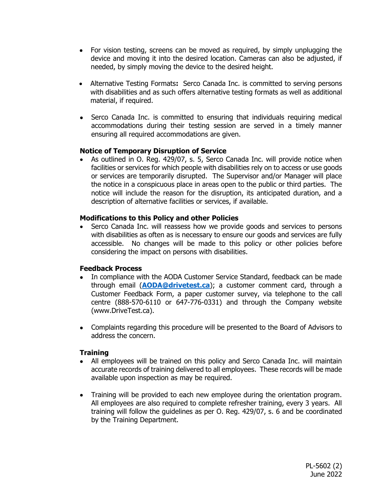- For vision testing, screens can be moved as required, by simply unplugging the device and moving it into the desired location. Cameras can also be adjusted, if needed, by simply moving the device to the desired height.
- Alternative Testing Formats**:** Serco Canada Inc. is committed to serving persons with disabilities and as such offers alternative testing formats as well as additional material, if required.
- Serco Canada Inc. is committed to ensuring that individuals requiring medical accommodations during their testing session are served in a timely manner ensuring all required accommodations are given.

#### **Notice of Temporary Disruption of Service**

• As outlined in O. Reg. 429/07, s. 5, Serco Canada Inc. will provide notice when facilities or services for which people with disabilities rely on to access or use goods or services are temporarily disrupted. The Supervisor and/or Manager will place the notice in a conspicuous place in areas open to the public or third parties. The notice will include the reason for the disruption, its anticipated duration, and a description of alternative facilities or services, if available.

#### **Modifications to this Policy and other Policies**

• Serco Canada Inc. will reassess how we provide goods and services to persons with disabilities as often as is necessary to ensure our goods and services are fully accessible. No changes will be made to this policy or other policies before considering the impact on persons with disabilities.

#### **Feedback Process**

- In compliance with the AODA Customer Service Standard, feedback can be made through email (**[AODA@drivetest.ca](mailto:AODA@drivetest.ca)**); a customer comment card, through a Customer Feedback Form, a paper customer survey, via telephone to the call centre (888-570-6110 or 647-776-0331) and through the Company website (www.DriveTest.ca).
- Complaints regarding this procedure will be presented to the Board of Advisors to address the concern.

## **Training**

- All employees will be trained on this policy and Serco Canada Inc. will maintain accurate records of training delivered to all employees. These records will be made available upon inspection as may be required.
- Training will be provided to each new employee during the orientation program. All employees are also required to complete refresher training, every 3 years. All training will follow the guidelines as per O. Reg. 429/07, s. 6 and be coordinated by the Training Department.